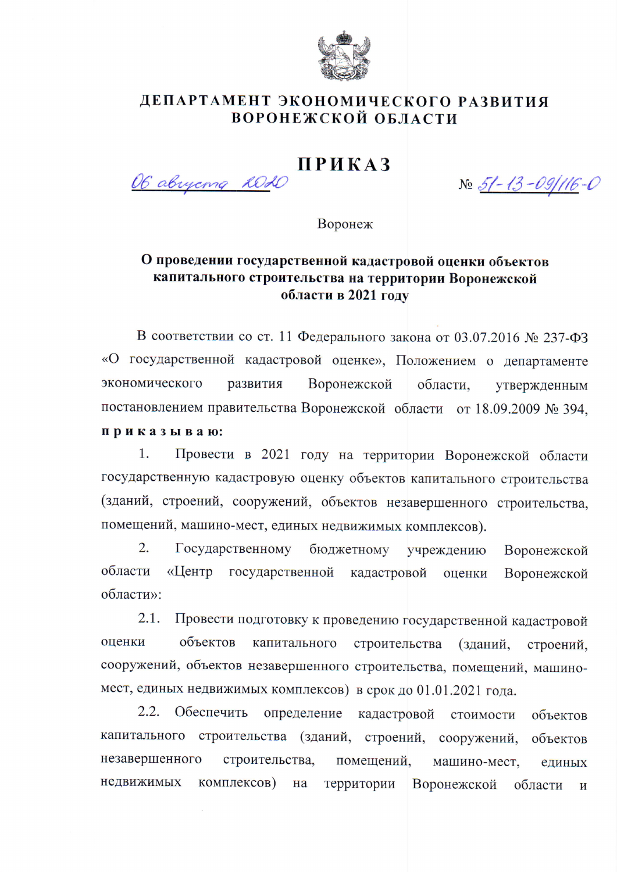

## ДЕПАРТАМЕНТ ЭКОНОМИЧЕСКОГО РАЗВИТИЯ ВОРОНЕЖСКОЙ ОБЛАСТИ

## **ПРИКАЗ**

OG abuyema 2020

No 51-13-09/116-0

Воронеж

## О проведении государственной кадастровой оценки объектов капитального строительства на территории Воронежской области в 2021 году

В соответствии со ст. 11 Федерального закона от 03.07.2016 № 237-ФЗ «О государственной кадастровой оценке», Положением о департаменте экономического развития Воронежской области. утвержденным постановлением правительства Воронежской области от 18.09.2009 № 394, приказываю:

Провести в 2021 году на территории Воронежской области 1. государственную кадастровую оценку объектов капитального строительства (зданий, строений, сооружений, объектов незавершенного строительства, помещений, машино-мест, единых недвижимых комплексов).

 $\overline{2}$ . Государственному бюджетному учреждению Воронежской области «Центр государственной кадастровой оценки Воронежской области»:

 $2.1.$ Провести подготовку к проведению государственной кадастровой оценки объектов капитального строительства (зданий, строений. сооружений, объектов незавершенного строительства, помещений, машиномест, единых недвижимых комплексов) в срок до 01.01.2021 года.

2.2. Обеспечить определение кадастровой стоимости объектов капитального строительства (зданий, строений, сооружений, объектов незавершенного строительства, помещений. машино-мест. единых недвижимых комплексов) на территории Воронежской области  $\overline{M}$